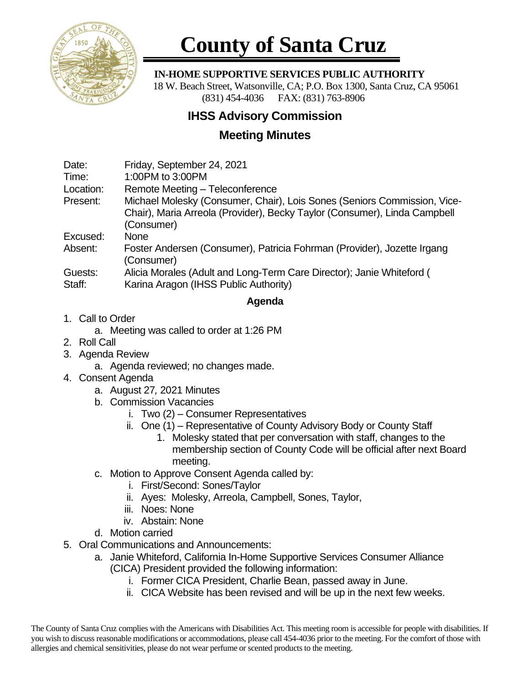

## **County of Santa Cruz**

 **IN-HOME SUPPORTIVE SERVICES PUBLIC AUTHORITY**

 18 W. Beach Street, Watsonville, CA; P.O. Box 1300, Santa Cruz, CA 95061 (831) 454-4036 FAX: (831) 763-8906

## **IHSS Advisory Commission**

## **Meeting Minutes**

| Date:         | Friday, September 24, 2021                                                                                                                                          |
|---------------|---------------------------------------------------------------------------------------------------------------------------------------------------------------------|
| Time:         | 1:00PM to 3:00PM                                                                                                                                                    |
| Location:     | Remote Meeting - Teleconference                                                                                                                                     |
| Present:      | Michael Molesky (Consumer, Chair), Lois Sones (Seniors Commission, Vice-<br>Chair), Maria Arreola (Provider), Becky Taylor (Consumer), Linda Campbell<br>(Consumer) |
| Excused:      | <b>None</b>                                                                                                                                                         |
| Absent:       | Foster Andersen (Consumer), Patricia Fohrman (Provider), Jozette Irgang<br>(Consumer)                                                                               |
| $\sim$ $\sim$ | APPEAL ALCOHOL: A FILE OF THE COMPLETE $\bigcap_{i=1}^n A_i$ is a finite function of $A$                                                                            |

Guests: Alicia Morales (Adult and Long-Term Care Director); Janie Whiteford ( Staff: Karina Aragon (IHSS Public Authority)

## **Agenda**

- 1. Call to Order
	- a. Meeting was called to order at 1:26 PM
- 2. Roll Call
- 3. Agenda Review
	- a. Agenda reviewed; no changes made.
- 4. Consent Agenda
	- a. August 27*,* 2021 Minutes
	- b. Commission Vacancies
		- i. Two (2) Consumer Representatives
		- ii. One (1) Representative of County Advisory Body or County Staff
			- 1. Molesky stated that per conversation with staff, changes to the membership section of County Code will be official after next Board meeting.
	- c. Motion to Approve Consent Agenda called by:
		- i. First/Second: Sones/Taylor
		- ii. Ayes: Molesky, Arreola, Campbell, Sones, Taylor,
		- iii. Noes: None
		- iv. Abstain: None
	- d. Motion carried
- 5. Oral Communications and Announcements:
	- a. Janie Whiteford, California In-Home Supportive Services Consumer Alliance (CICA) President provided the following information:
		- i. Former CICA President, Charlie Bean, passed away in June.
		- ii. CICA Website has been revised and will be up in the next few weeks.

The County of Santa Cruz complies with the Americans with Disabilities Act. This meeting room is accessible for people with disabilities. If you wish to discuss reasonable modifications or accommodations, please call 454-4036 prior to the meeting. For the comfort of those with allergies and chemical sensitivities, please do not wear perfume or scented products to the meeting.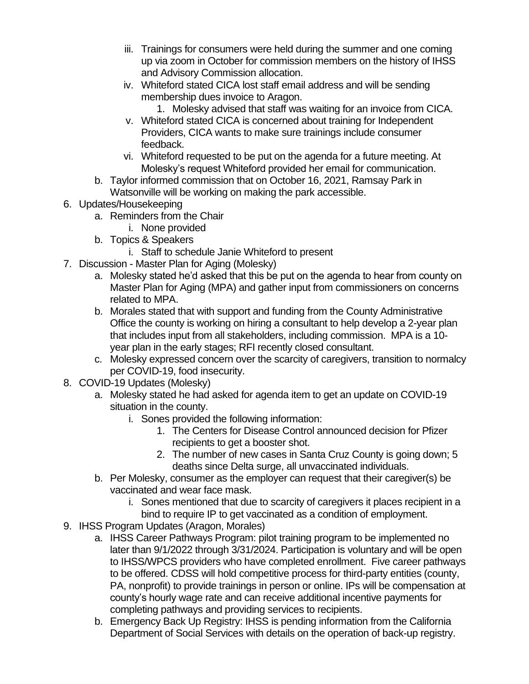- iii. Trainings for consumers were held during the summer and one coming up via zoom in October for commission members on the history of IHSS and Advisory Commission allocation.
- iv. Whiteford stated CICA lost staff email address and will be sending membership dues invoice to Aragon.
	- 1. Molesky advised that staff was waiting for an invoice from CICA.
- v. Whiteford stated CICA is concerned about training for Independent Providers, CICA wants to make sure trainings include consumer feedback.
- vi. Whiteford requested to be put on the agenda for a future meeting. At Molesky's request Whiteford provided her email for communication.
- b. Taylor informed commission that on October 16, 2021, Ramsay Park in Watsonville will be working on making the park accessible.
- 6. Updates/Housekeeping
	- a. Reminders from the Chair
		- i. None provided
	- b. Topics & Speakers
		- i. Staff to schedule Janie Whiteford to present
- 7. Discussion Master Plan for Aging (Molesky)
	- a. Molesky stated he'd asked that this be put on the agenda to hear from county on Master Plan for Aging (MPA) and gather input from commissioners on concerns related to MPA.
	- b. Morales stated that with support and funding from the County Administrative Office the county is working on hiring a consultant to help develop a 2-year plan that includes input from all stakeholders, including commission. MPA is a 10 year plan in the early stages; RFI recently closed consultant.
	- c. Molesky expressed concern over the scarcity of caregivers, transition to normalcy per COVID-19, food insecurity.
- 8. COVID-19 Updates (Molesky)
	- a. Molesky stated he had asked for agenda item to get an update on COVID-19 situation in the county.
		- i. Sones provided the following information:
			- 1. The Centers for Disease Control announced decision for Pfizer recipients to get a booster shot.
			- 2. The number of new cases in Santa Cruz County is going down; 5 deaths since Delta surge, all unvaccinated individuals.
	- b. Per Molesky, consumer as the employer can request that their caregiver(s) be vaccinated and wear face mask.
		- i. Sones mentioned that due to scarcity of caregivers it places recipient in a bind to require IP to get vaccinated as a condition of employment.
- 9. IHSS Program Updates (Aragon, Morales)
	- a. IHSS Career Pathways Program: pilot training program to be implemented no later than 9/1/2022 through 3/31/2024. Participation is voluntary and will be open to IHSS/WPCS providers who have completed enrollment. Five career pathways to be offered. CDSS will hold competitive process for third-party entities (county, PA, nonprofit) to provide trainings in person or online. IPs will be compensation at county's hourly wage rate and can receive additional incentive payments for completing pathways and providing services to recipients.
	- b. Emergency Back Up Registry: IHSS is pending information from the California Department of Social Services with details on the operation of back-up registry.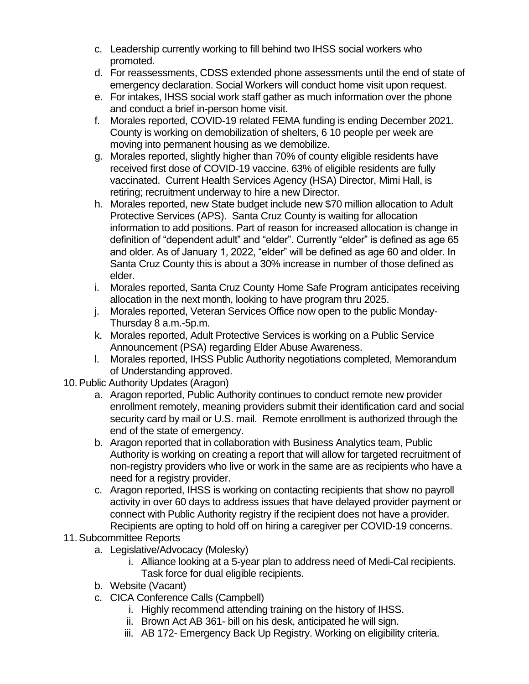- c. Leadership currently working to fill behind two IHSS social workers who promoted.
- d. For reassessments, CDSS extended phone assessments until the end of state of emergency declaration. Social Workers will conduct home visit upon request.
- e. For intakes, IHSS social work staff gather as much information over the phone and conduct a brief in-person home visit.
- f. Morales reported, COVID-19 related FEMA funding is ending December 2021. County is working on demobilization of shelters, 6 10 people per week are moving into permanent housing as we demobilize.
- g. Morales reported, slightly higher than 70% of county eligible residents have received first dose of COVID-19 vaccine. 63% of eligible residents are fully vaccinated. Current Health Services Agency (HSA) Director, Mimi Hall, is retiring; recruitment underway to hire a new Director.
- h. Morales reported, new State budget include new \$70 million allocation to Adult Protective Services (APS). Santa Cruz County is waiting for allocation information to add positions. Part of reason for increased allocation is change in definition of "dependent adult" and "elder". Currently "elder" is defined as age 65 and older. As of January 1, 2022, "elder" will be defined as age 60 and older. In Santa Cruz County this is about a 30% increase in number of those defined as elder.
- i. Morales reported, Santa Cruz County Home Safe Program anticipates receiving allocation in the next month, looking to have program thru 2025.
- j. Morales reported, Veteran Services Office now open to the public Monday-Thursday 8 a.m.-5p.m.
- k. Morales reported, Adult Protective Services is working on a Public Service Announcement (PSA) regarding Elder Abuse Awareness.
- l. Morales reported, IHSS Public Authority negotiations completed, Memorandum of Understanding approved.
- 10.Public Authority Updates (Aragon)
	- a. Aragon reported, Public Authority continues to conduct remote new provider enrollment remotely, meaning providers submit their identification card and social security card by mail or U.S. mail. Remote enrollment is authorized through the end of the state of emergency.
	- b. Aragon reported that in collaboration with Business Analytics team, Public Authority is working on creating a report that will allow for targeted recruitment of non-registry providers who live or work in the same are as recipients who have a need for a registry provider.
	- c. Aragon reported, IHSS is working on contacting recipients that show no payroll activity in over 60 days to address issues that have delayed provider payment or connect with Public Authority registry if the recipient does not have a provider. Recipients are opting to hold off on hiring a caregiver per COVID-19 concerns.
- 11.Subcommittee Reports
	- a. Legislative/Advocacy (Molesky)
		- i. Alliance looking at a 5-year plan to address need of Medi-Cal recipients. Task force for dual eligible recipients.
	- b. Website (Vacant)
	- c. CICA Conference Calls (Campbell)
		- i. Highly recommend attending training on the history of IHSS.
		- ii. Brown Act AB 361- bill on his desk, anticipated he will sign.
		- iii. AB 172- Emergency Back Up Registry. Working on eligibility criteria.